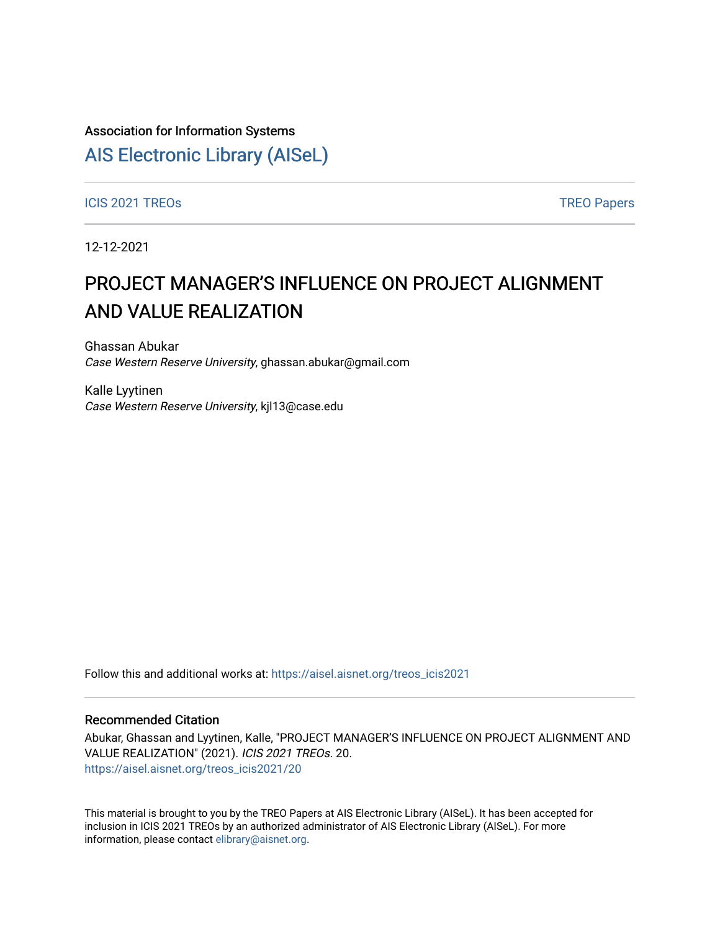### Association for Information Systems

## [AIS Electronic Library \(AISeL\)](https://aisel.aisnet.org/)

#### ICIS 2021 TREOS NEWSTAPH CONTROL IN THE CONTROL OF TREO Papers

12-12-2021

# PROJECT MANAGER'S INFLUENCE ON PROJECT ALIGNMENT AND VALUE REALIZATION

Ghassan Abukar Case Western Reserve University, ghassan.abukar@gmail.com

Kalle Lyytinen Case Western Reserve University, kjl13@case.edu

Follow this and additional works at: [https://aisel.aisnet.org/treos\\_icis2021](https://aisel.aisnet.org/treos_icis2021?utm_source=aisel.aisnet.org%2Ftreos_icis2021%2F20&utm_medium=PDF&utm_campaign=PDFCoverPages) 

#### Recommended Citation

Abukar, Ghassan and Lyytinen, Kalle, "PROJECT MANAGER'S INFLUENCE ON PROJECT ALIGNMENT AND VALUE REALIZATION" (2021). ICIS 2021 TREOs. 20. [https://aisel.aisnet.org/treos\\_icis2021/20](https://aisel.aisnet.org/treos_icis2021/20?utm_source=aisel.aisnet.org%2Ftreos_icis2021%2F20&utm_medium=PDF&utm_campaign=PDFCoverPages) 

This material is brought to you by the TREO Papers at AIS Electronic Library (AISeL). It has been accepted for inclusion in ICIS 2021 TREOs by an authorized administrator of AIS Electronic Library (AISeL). For more information, please contact [elibrary@aisnet.org.](mailto:elibrary@aisnet.org%3E)